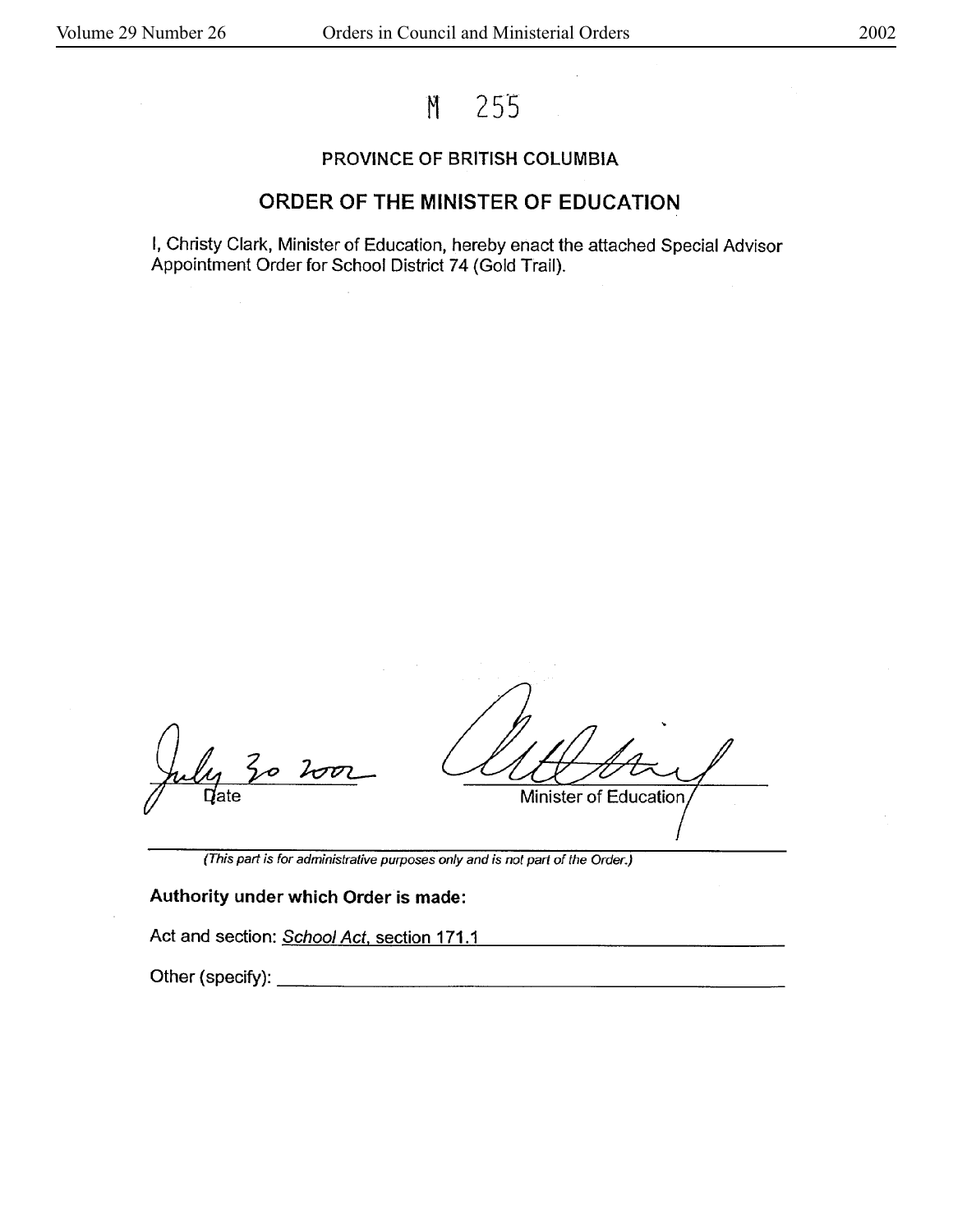# M 255

#### **PROVINCE OF BRITISH COLUMBIA**

## **ORDER OF THE MINISTER OF EDUCATION**

I, Christy Clark, Minister of Education, hereby enact the attached Special Advisor Appointment Order for School District 74 (Gold Trail).

 $30$  $2002$  $\sf Q$ ate

Minister of Education,

(This part is for administrative purposes only and is not part of the Order.)

#### **Authority under which Order is made:**

Act and section: School Act, section 171.1

Other (specify): \_\_\_\_\_\_\_\_\_\_\_\_\_\_\_\_\_\_\_\_ \_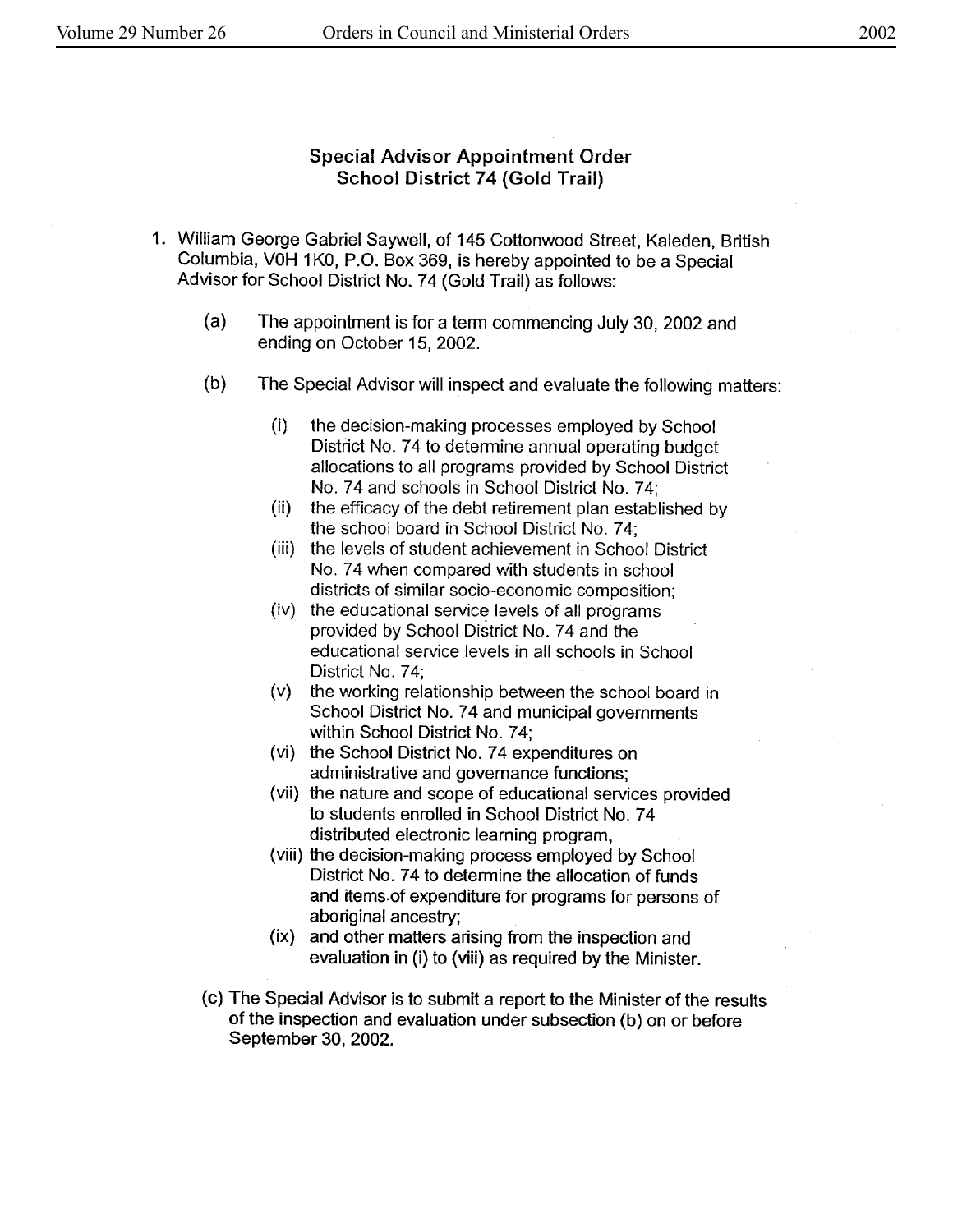### Special Advisor Appointment Order School District 74 (Gold Trail)

- 1. William George Gabriel Saywell, of 145 Cottonwood Street, Kaleden, British Columbia, V0H 1 KO, P.O. Box 369, is hereby appointed to be a Special Advisor for School District No. 74 (Gold Trail) as follows:
	- (a) The appointment is for a term commencing July 30, 2002 and ending on October 15, 2002.
	- (b) The Special Advisor will inspect and evaluate the following matters:
		- (i) the decision-making processes employed by School District No. 74 to determine annual operating budget allocations to all programs provided by School District No. 74 and schools in School District No. 74;
		- (ii) the efficacy of the debt retirement plan established by the school board in School District No. 7 4;
		- (iii) the levels of student achievement in School District No. 74 when compared with students in school districts of similar socio-economic composition;
		- (iv) the educational service levels of all programs provided by School District No. 74 and the educational service levels in all schools in School District No. 74:
		- (v) the working relationship between the school board in School District No. 74 and municipal governments within School District No. 74;
		- (vi) the School District No. 74 expenditures on administrative and governance functions;
		- (vii) the nature and scope of educational services provided to students enrolled in School District No. 7 4 distributed electronic learning program,
		- (viii) the decision-making process employed by School District No. 74 to determine the allocation of funds and items.of expenditure for programs for persons of aboriginal ancestry;
		- (ix) and other matters arising from the inspection and evaluation in (i) to (viii) as required by the Minister.
	- (c) The Special Advisor is to submit a report to the Minister of the results of the inspection and evaluation under subsection (b) on or before September 30, 2002.